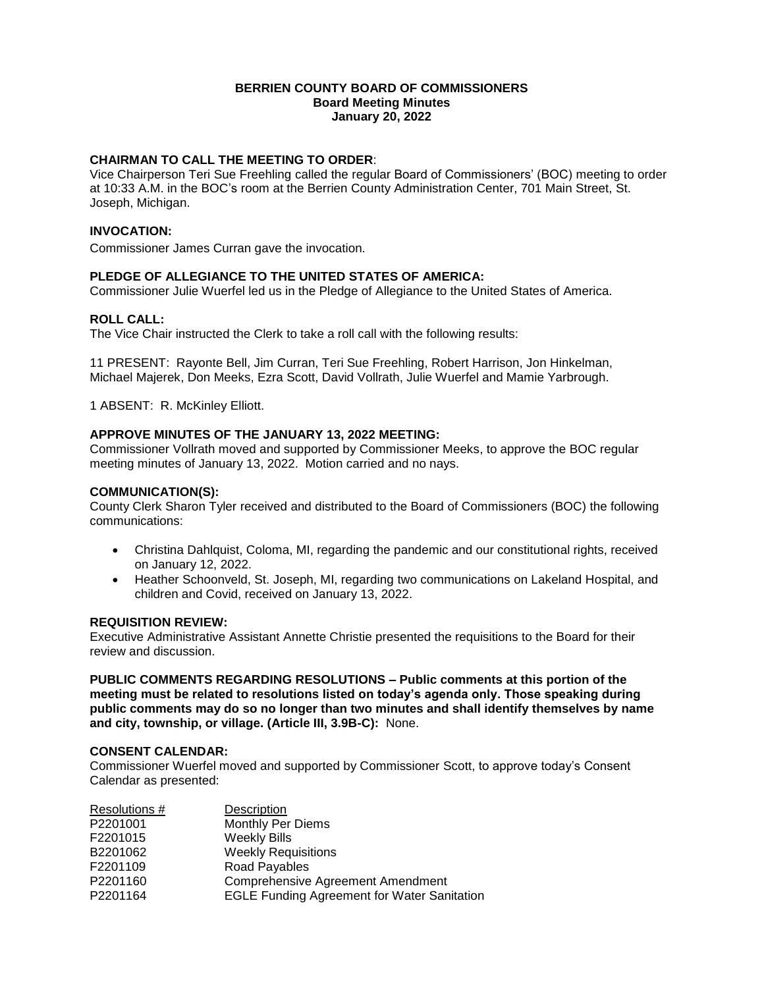### **BERRIEN COUNTY BOARD OF COMMISSIONERS Board Meeting Minutes January 20, 2022**

# **CHAIRMAN TO CALL THE MEETING TO ORDER**:

Vice Chairperson Teri Sue Freehling called the regular Board of Commissioners' (BOC) meeting to order at 10:33 A.M. in the BOC's room at the Berrien County Administration Center, 701 Main Street, St. Joseph, Michigan.

#### **INVOCATION:**

Commissioner James Curran gave the invocation.

# **PLEDGE OF ALLEGIANCE TO THE UNITED STATES OF AMERICA:**

Commissioner Julie Wuerfel led us in the Pledge of Allegiance to the United States of America.

## **ROLL CALL:**

The Vice Chair instructed the Clerk to take a roll call with the following results:

11 PRESENT: Rayonte Bell, Jim Curran, Teri Sue Freehling, Robert Harrison, Jon Hinkelman, Michael Majerek, Don Meeks, Ezra Scott, David Vollrath, Julie Wuerfel and Mamie Yarbrough.

1 ABSENT: R. McKinley Elliott.

## **APPROVE MINUTES OF THE JANUARY 13, 2022 MEETING:**

Commissioner Vollrath moved and supported by Commissioner Meeks, to approve the BOC regular meeting minutes of January 13, 2022. Motion carried and no nays.

### **COMMUNICATION(S):**

County Clerk Sharon Tyler received and distributed to the Board of Commissioners (BOC) the following communications:

- Christina Dahlquist, Coloma, MI, regarding the pandemic and our constitutional rights, received on January 12, 2022.
- Heather Schoonveld, St. Joseph, MI, regarding two communications on Lakeland Hospital, and children and Covid, received on January 13, 2022.

## **REQUISITION REVIEW:**

Executive Administrative Assistant Annette Christie presented the requisitions to the Board for their review and discussion.

**PUBLIC COMMENTS REGARDING RESOLUTIONS – Public comments at this portion of the meeting must be related to resolutions listed on today's agenda only. Those speaking during public comments may do so no longer than two minutes and shall identify themselves by name and city, township, or village. (Article III, 3.9B-C):** None.

### **CONSENT CALENDAR:**

Commissioner Wuerfel moved and supported by Commissioner Scott, to approve today's Consent Calendar as presented:

| Resolutions # | Description                                        |
|---------------|----------------------------------------------------|
| P2201001      | <b>Monthly Per Diems</b>                           |
| F2201015      | <b>Weekly Bills</b>                                |
| B2201062      | <b>Weekly Requisitions</b>                         |
| F2201109      | <b>Road Payables</b>                               |
| P2201160      | <b>Comprehensive Agreement Amendment</b>           |
| P2201164      | <b>EGLE Funding Agreement for Water Sanitation</b> |